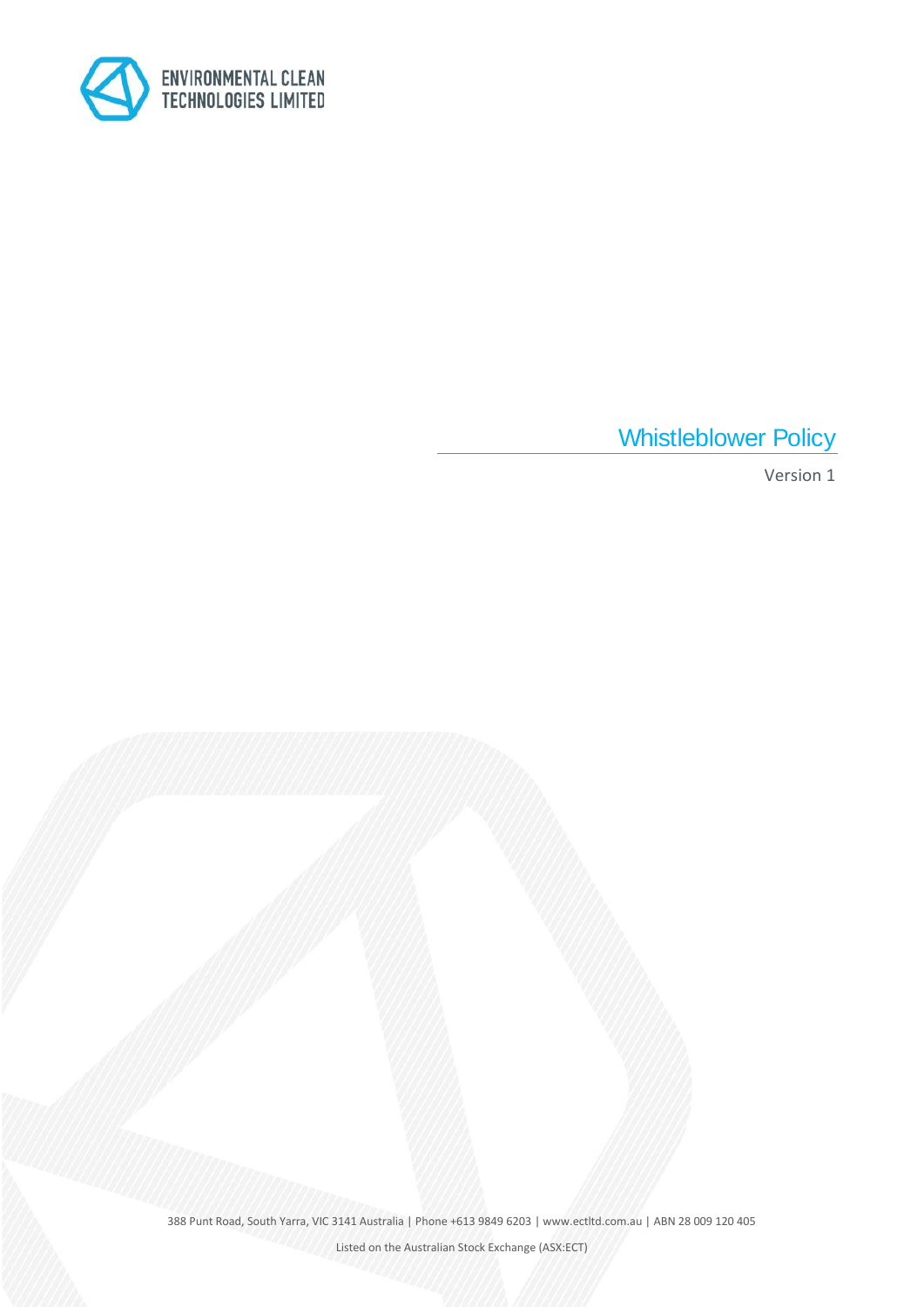

Whistleblower Policy

Version 1

388 Punt Road, South Yarra, VIC 3141 Australia | Phone +613 9849 6203 | www.ectltd.com.au | ABN 28 009 120 405

Listed on the Australian Stock Exchange (ASX:ECT)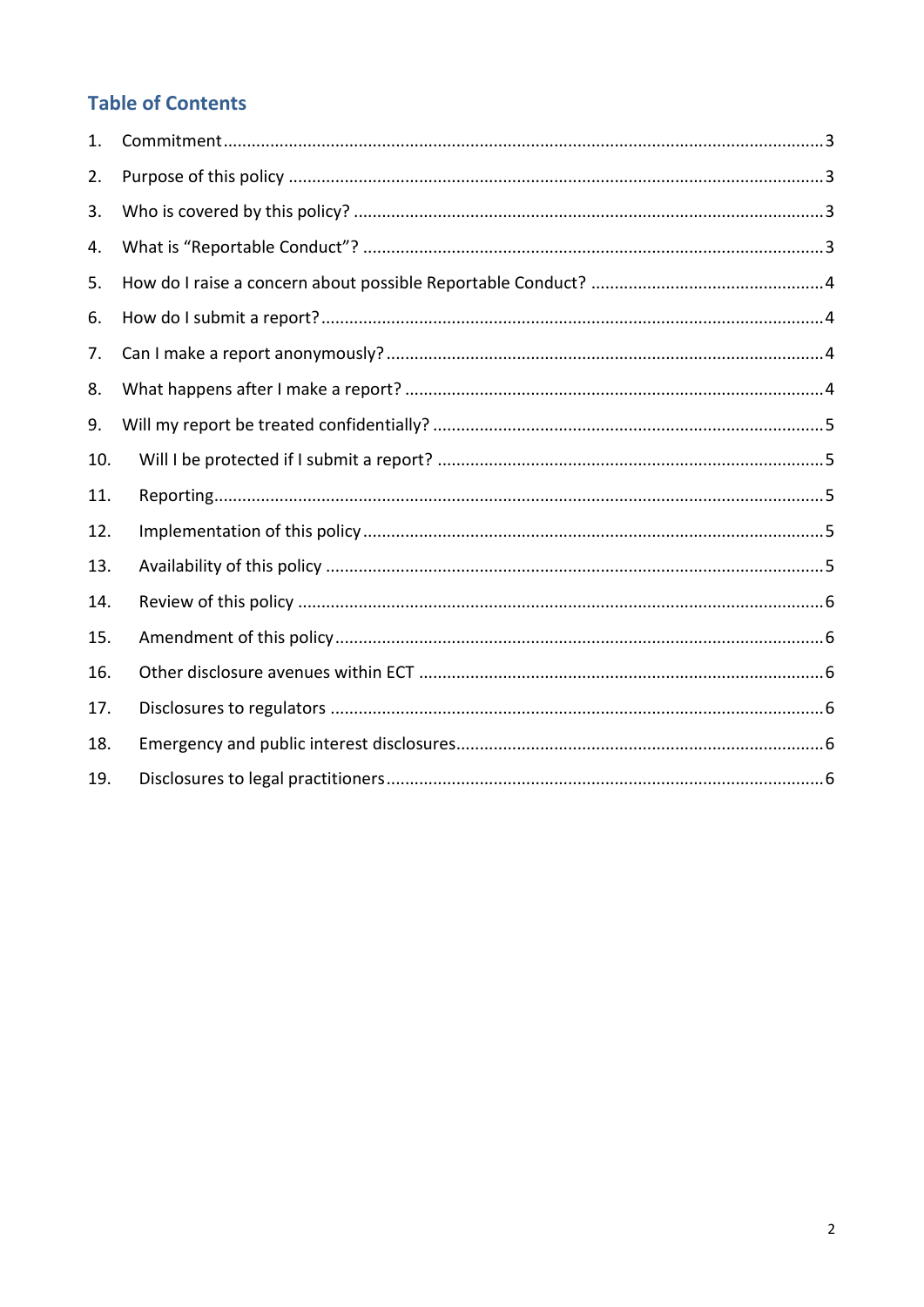# **Table of Contents**

| 1.  |  |
|-----|--|
| 2.  |  |
| 3.  |  |
| 4.  |  |
| 5.  |  |
| 6.  |  |
| 7.  |  |
| 8.  |  |
| 9.  |  |
| 10. |  |
| 11. |  |
| 12. |  |
| 13. |  |
| 14. |  |
| 15. |  |
| 16. |  |
| 17. |  |
| 18. |  |
| 19. |  |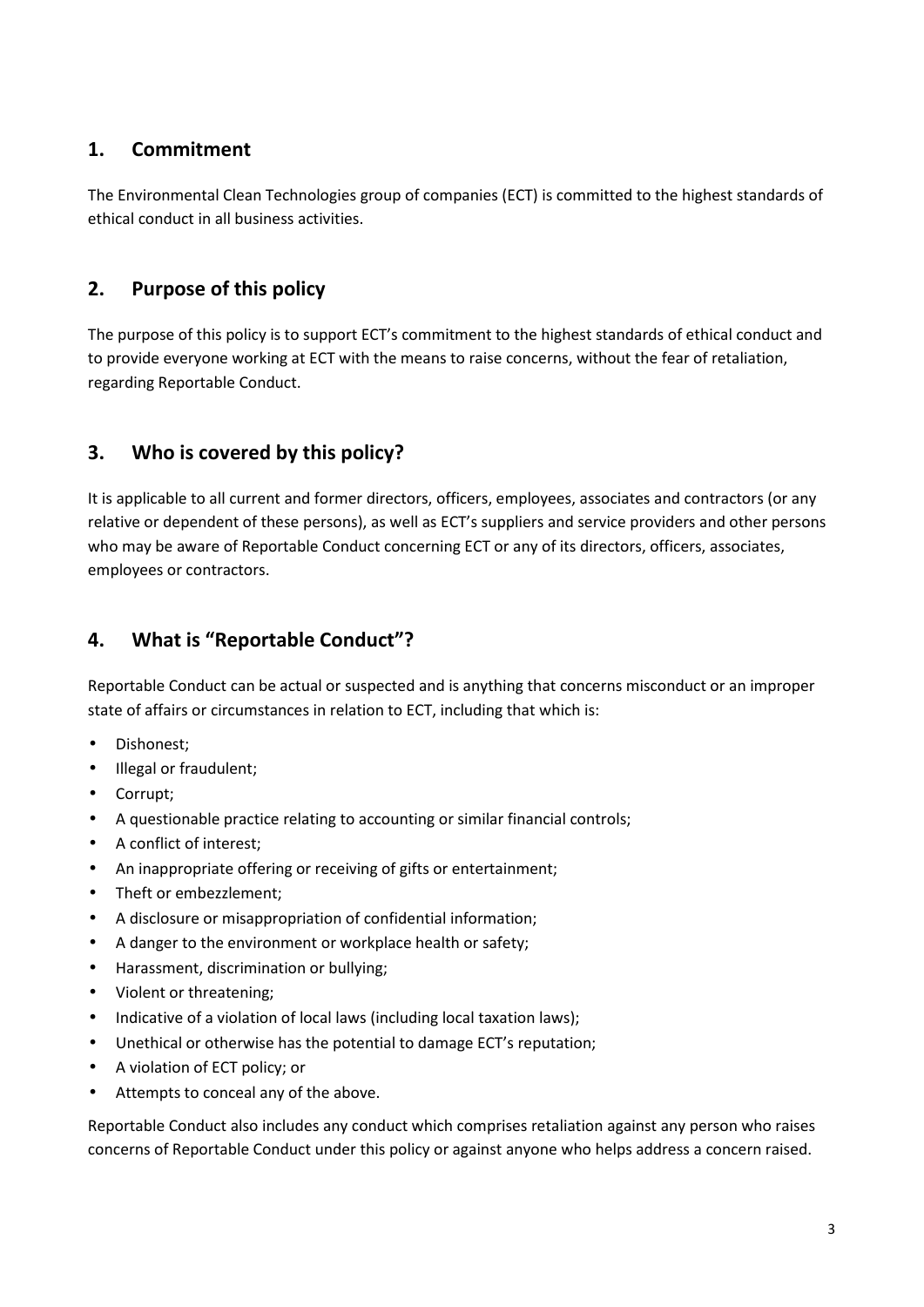# **1. Commitment**

The Environmental Clean Technologies group of companies (ECT) is committed to the highest standards of ethical conduct in all business activities.

# **2. Purpose of this policy**

The purpose of this policy is to support ECT's commitment to the highest standards of ethical conduct and to provide everyone working at ECT with the means to raise concerns, without the fear of retaliation, regarding Reportable Conduct.

# **3. Who is covered by this policy?**

It is applicable to all current and former directors, officers, employees, associates and contractors (or any relative or dependent of these persons), as well as ECT's suppliers and service providers and other persons who may be aware of Reportable Conduct concerning ECT or any of its directors, officers, associates, employees or contractors.

# **4. What is "Reportable Conduct"?**

Reportable Conduct can be actual or suspected and is anything that concerns misconduct or an improper state of affairs or circumstances in relation to ECT, including that which is:

- Dishonest;
- Illegal or fraudulent;
- Corrupt;
- A questionable practice relating to accounting or similar financial controls;
- A conflict of interest;
- An inappropriate offering or receiving of gifts or entertainment;
- Theft or embezzlement;
- A disclosure or misappropriation of confidential information;
- A danger to the environment or workplace health or safety;
- Harassment, discrimination or bullying;
- Violent or threatening;
- Indicative of a violation of local laws (including local taxation laws);
- Unethical or otherwise has the potential to damage ECT's reputation;
- A violation of ECT policy; or
- Attempts to conceal any of the above.

Reportable Conduct also includes any conduct which comprises retaliation against any person who raises concerns of Reportable Conduct under this policy or against anyone who helps address a concern raised.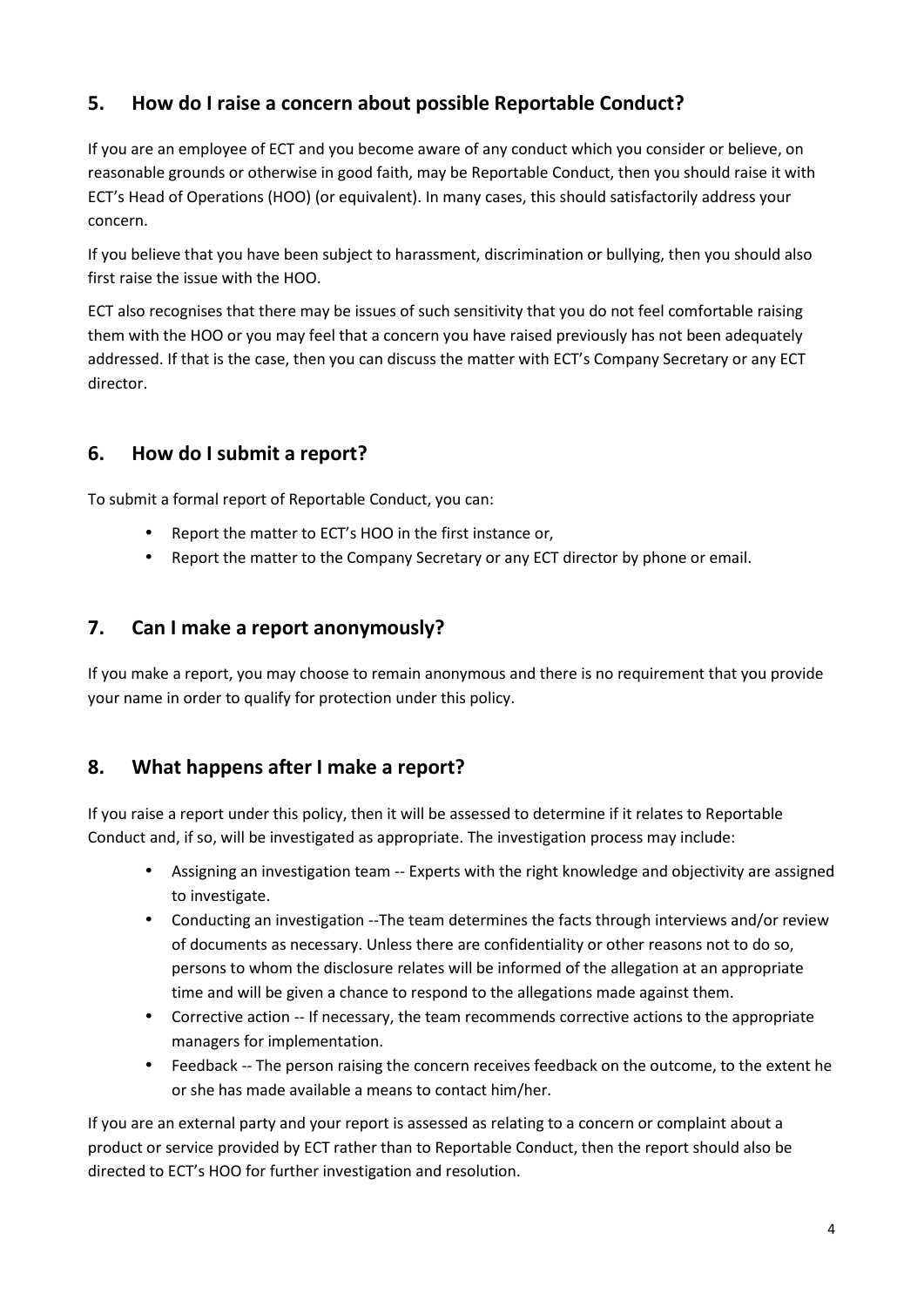## **5. How do I raise a concern about possible Reportable Conduct?**

If you are an employee of ECT and you become aware of any conduct which you consider or believe, on reasonable grounds or otherwise in good faith, may be Reportable Conduct, then you should raise it with ECT's Head of Operations (HOO) (or equivalent). In many cases, this should satisfactorily address your concern.

If you believe that you have been subject to harassment, discrimination or bullying, then you should also first raise the issue with the HOO.

ECT also recognises that there may be issues of such sensitivity that you do not feel comfortable raising them with the HOO or you may feel that a concern you have raised previously has not been adequately addressed. If that is the case, then you can discuss the matter with ECT's Company Secretary or any ECT director.

## **6. How do I submit a report?**

To submit a formal report of Reportable Conduct, you can:

- Report the matter to ECT's HOO in the first instance or,
- Report the matter to the Company Secretary or any ECT director by phone or email.

#### **7. Can I make a report anonymously?**

If you make a report, you may choose to remain anonymous and there is no requirement that you provide your name in order to qualify for protection under this policy.

#### **8. What happens after I make a report?**

If you raise a report under this policy, then it will be assessed to determine if it relates to Reportable Conduct and, if so, will be investigated as appropriate. The investigation process may include:

- Assigning an investigation team -- Experts with the right knowledge and objectivity are assigned to investigate.
- Conducting an investigation --The team determines the facts through interviews and/or review of documents as necessary. Unless there are confidentiality or other reasons not to do so, persons to whom the disclosure relates will be informed of the allegation at an appropriate time and will be given a chance to respond to the allegations made against them.
- Corrective action -- If necessary, the team recommends corrective actions to the appropriate managers for implementation.
- Feedback -- The person raising the concern receives feedback on the outcome, to the extent he or she has made available a means to contact him/her.

If you are an external party and your report is assessed as relating to a concern or complaint about a product or service provided by ECT rather than to Reportable Conduct, then the report should also be directed to ECT's HOO for further investigation and resolution.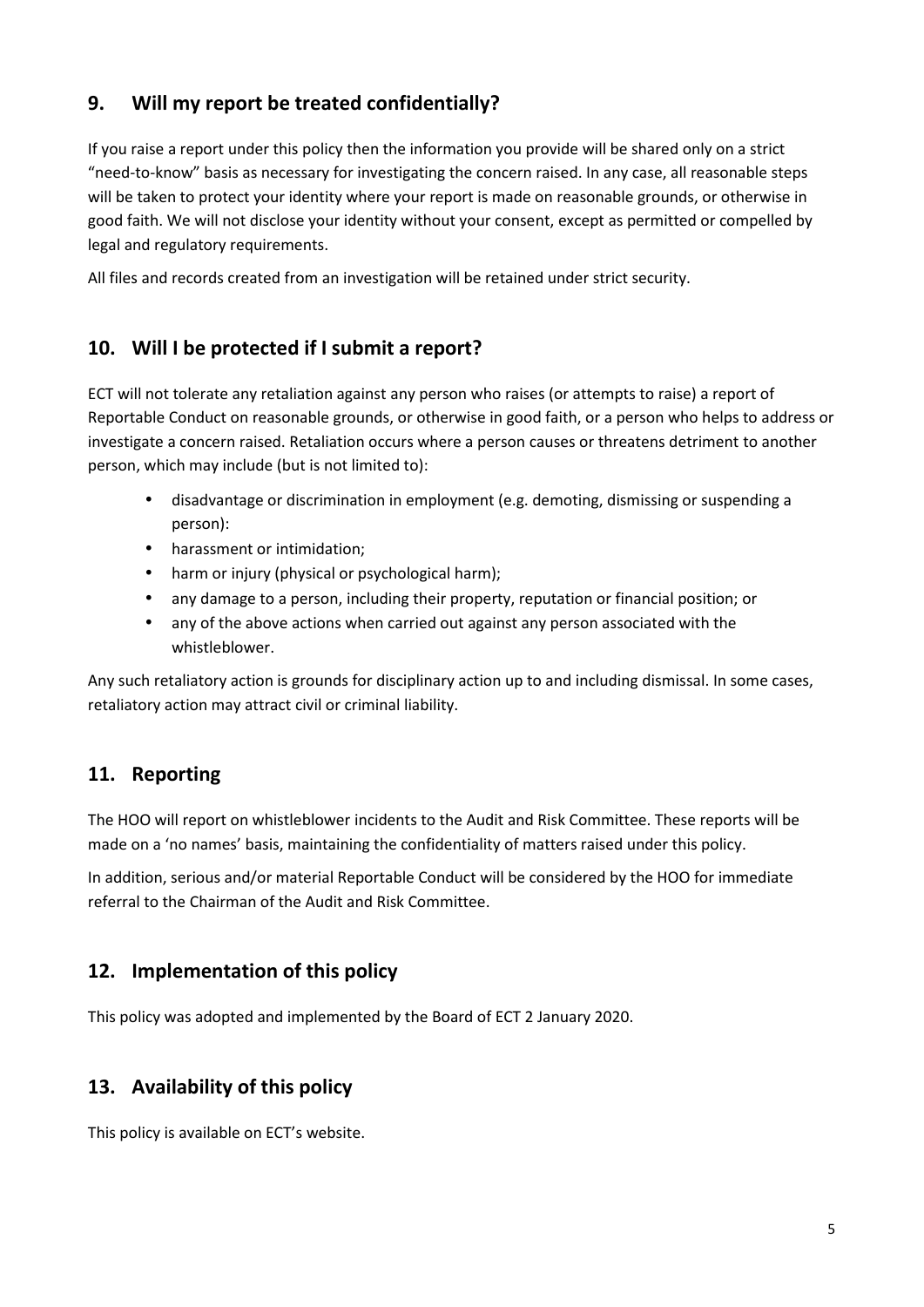## **9. Will my report be treated confidentially?**

If you raise a report under this policy then the information you provide will be shared only on a strict "need-to-know" basis as necessary for investigating the concern raised. In any case, all reasonable steps will be taken to protect your identity where your report is made on reasonable grounds, or otherwise in good faith. We will not disclose your identity without your consent, except as permitted or compelled by legal and regulatory requirements.

All files and records created from an investigation will be retained under strict security.

## **10. Will I be protected if I submit a report?**

ECT will not tolerate any retaliation against any person who raises (or attempts to raise) a report of Reportable Conduct on reasonable grounds, or otherwise in good faith, or a person who helps to address or investigate a concern raised. Retaliation occurs where a person causes or threatens detriment to another person, which may include (but is not limited to):

- disadvantage or discrimination in employment (e.g. demoting, dismissing or suspending a person):
- harassment or intimidation;
- harm or injury (physical or psychological harm);
- any damage to a person, including their property, reputation or financial position; or
- any of the above actions when carried out against any person associated with the whistleblower.

Any such retaliatory action is grounds for disciplinary action up to and including dismissal. In some cases, retaliatory action may attract civil or criminal liability.

## **11. Reporting**

The HOO will report on whistleblower incidents to the Audit and Risk Committee. These reports will be made on a 'no names' basis, maintaining the confidentiality of matters raised under this policy.

In addition, serious and/or material Reportable Conduct will be considered by the HOO for immediate referral to the Chairman of the Audit and Risk Committee.

## **12. Implementation of this policy**

This policy was adopted and implemented by the Board of ECT 2 January 2020.

## **13. Availability of this policy**

This policy is available on ECT's website.